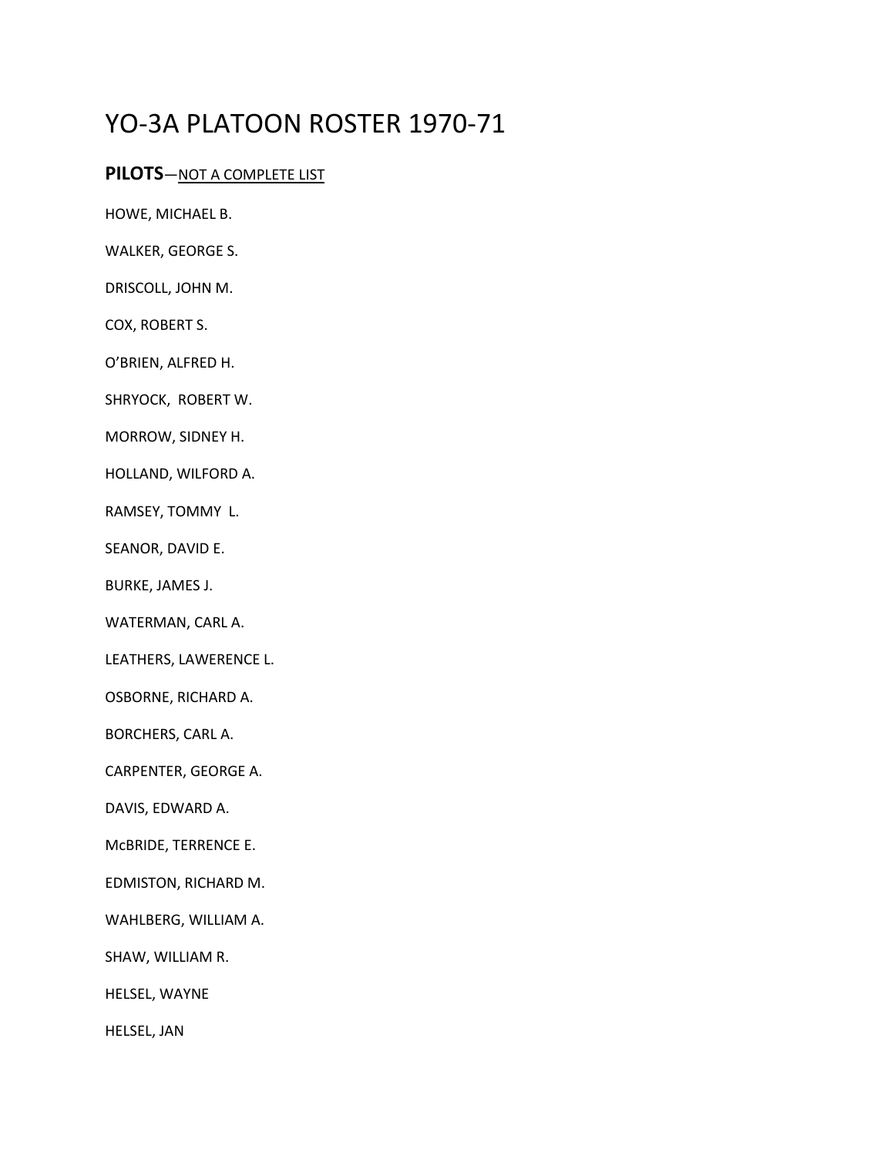## YO-3A PLATOON ROSTER 1970-71

## **PILOTS**—NOT A COMPLETE LIST

HOWE, MICHAEL B.

WALKER, GEORGE S.

DRISCOLL, JOHN M.

COX, ROBERT S.

O'BRIEN, ALFRED H.

SHRYOCK, ROBERT W.

MORROW, SIDNEY H.

HOLLAND, WILFORD A.

RAMSEY, TOMMY L.

SEANOR, DAVID E.

BURKE, JAMES J.

WATERMAN, CARL A.

LEATHERS, LAWERENCE L.

OSBORNE, RICHARD A.

BORCHERS, CARL A.

CARPENTER, GEORGE A.

DAVIS, EDWARD A.

McBRIDE, TERRENCE E.

EDMISTON, RICHARD M.

WAHLBERG, WILLIAM A.

SHAW, WILLIAM R.

HELSEL, WAYNE

HELSEL, JAN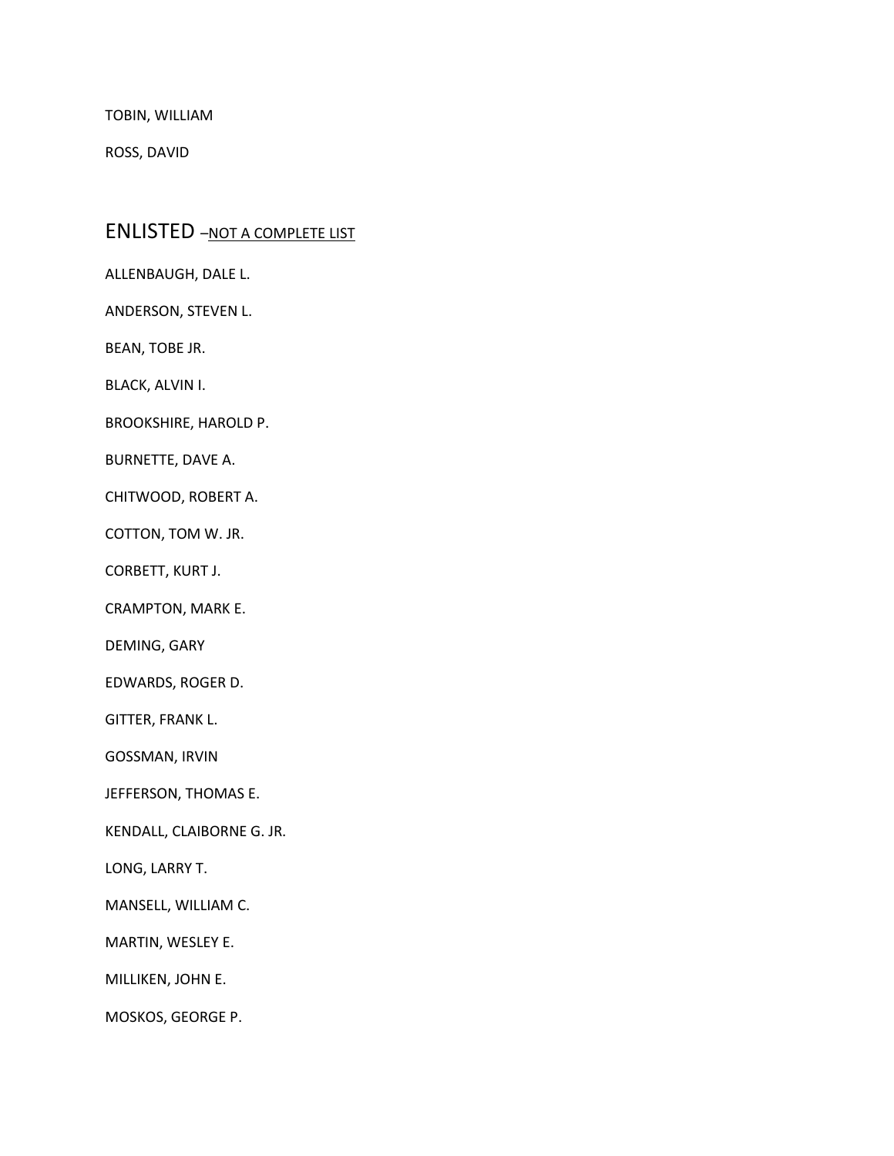TOBIN, WILLIAM

ROSS, DAVID

## ENLISTED -NOT A COMPLETE LIST

ALLENBAUGH, DALE L.

ANDERSON, STEVEN L.

BEAN, TOBE JR.

BLACK, ALVIN I.

BROOKSHIRE, HAROLD P.

BURNETTE, DAVE A.

CHITWOOD, ROBERT A.

COTTON, TOM W. JR.

CORBETT, KURT J.

CRAMPTON, MARK E.

DEMING, GARY

EDWARDS, ROGER D.

GITTER, FRANK L.

GOSSMAN, IRVIN

JEFFERSON, THOMAS E.

KENDALL, CLAIBORNE G. JR.

LONG, LARRY T.

MANSELL, WILLIAM C.

MARTIN, WESLEY E.

MILLIKEN, JOHN E.

MOSKOS, GEORGE P.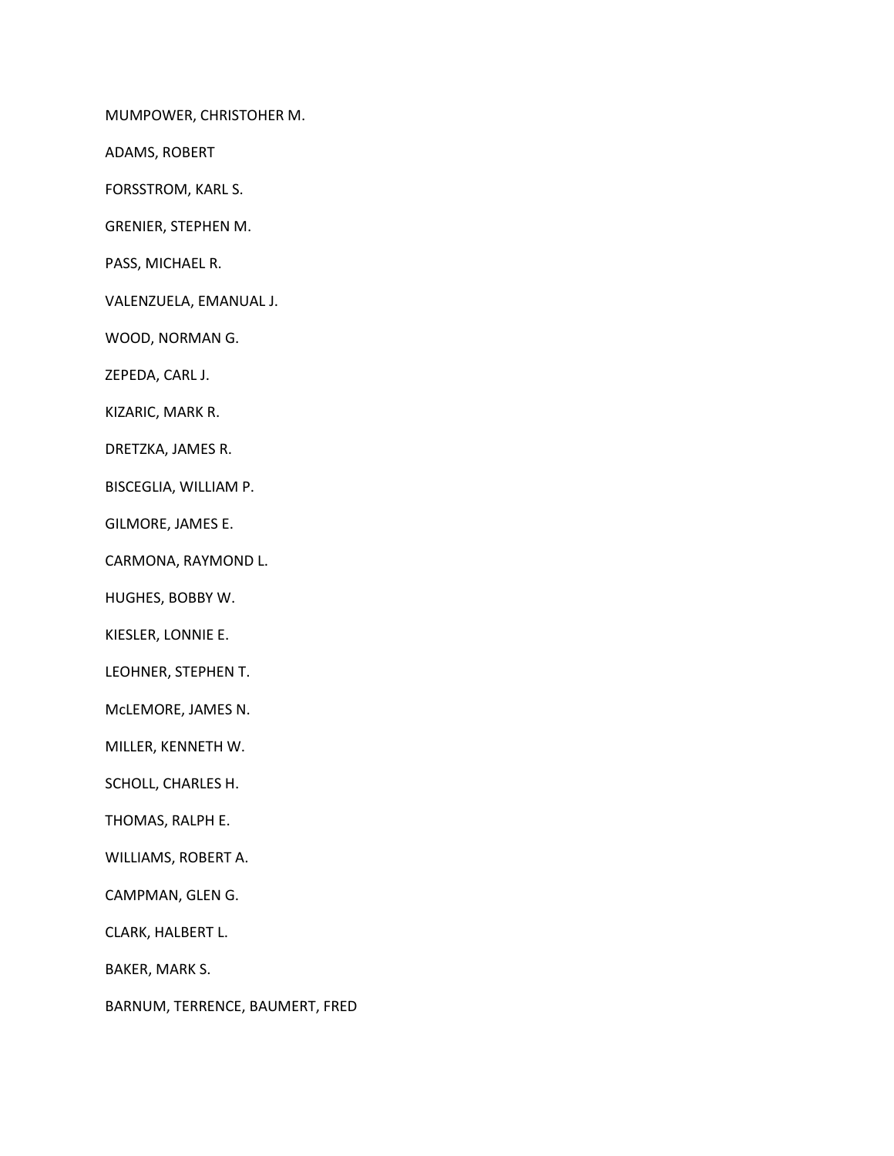MUMPOWER, CHRISTOHER M.

ADAMS, ROBERT

FORSSTROM, KARL S.

GRENIER, STEPHEN M.

PASS, MICHAEL R.

VALENZUELA, EMANUAL J.

WOOD, NORMAN G.

ZEPEDA, CARL J.

KIZARIC, MARK R.

DRETZKA, JAMES R.

BISCEGLIA, WILLIAM P.

GILMORE, JAMES E.

CARMONA, RAYMOND L.

HUGHES, BOBBY W.

KIESLER, LONNIE E.

LEOHNER, STEPHEN T.

McLEMORE, JAMES N.

MILLER, KENNETH W.

SCHOLL, CHARLES H.

THOMAS, RALPH E.

WILLIAMS, ROBERT A.

CAMPMAN, GLEN G.

CLARK, HALBERT L.

BAKER, MARK S.

BARNUM, TERRENCE, BAUMERT, FRED